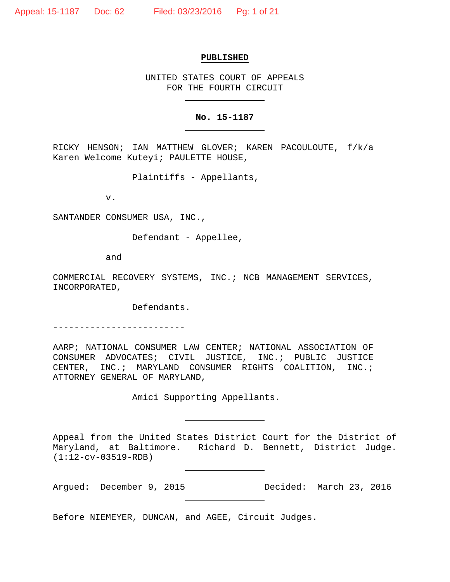## **PUBLISHED**

UNITED STATES COURT OF APPEALS FOR THE FOURTH CIRCUIT

## **No. 15-1187**

RICKY HENSON; IAN MATTHEW GLOVER; KAREN PACOULOUTE, f/k/a Karen Welcome Kuteyi; PAULETTE HOUSE,

Plaintiffs - Appellants,

v.

SANTANDER CONSUMER USA, INC.,

Defendant - Appellee,

and

COMMERCIAL RECOVERY SYSTEMS, INC.; NCB MANAGEMENT SERVICES, INCORPORATED,

Defendants.

-------------------------

AARP; NATIONAL CONSUMER LAW CENTER; NATIONAL ASSOCIATION OF CONSUMER ADVOCATES; CIVIL JUSTICE, INC.; PUBLIC JUSTICE CENTER, INC.; MARYLAND CONSUMER RIGHTS COALITION, INC.; ATTORNEY GENERAL OF MARYLAND,

Amici Supporting Appellants.

Appeal from the United States District Court for the District of Maryland, at Baltimore. Richard D. Bennett, District Judge. (1:12-cv-03519-RDB)

Argued: December 9, 2015 Decided: March 23, 2016

Before NIEMEYER, DUNCAN, and AGEE, Circuit Judges.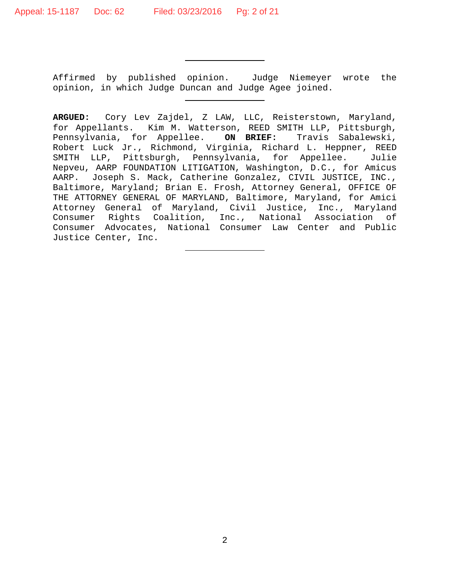Affirmed by published opinion. Judge Niemeyer wrote the opinion, in which Judge Duncan and Judge Agee joined.

**ARGUED:** Cory Lev Zajdel, Z LAW, LLC, Reisterstown, Maryland, for Appellants. Kim M. Watterson, REED SMITH LLP, Pittsburgh, Pennsylvania, for Appellee. **ON BRIEF:** Travis Sabalewski, Robert Luck Jr., Richmond, Virginia, Richard L. Heppner, REED SMITH LLP, Pittsburgh, Pennsylvania, for Appellee. Julie Nepveu, AARP FOUNDATION LITIGATION, Washington, D.C., for Amicus AARP. Joseph S. Mack, Catherine Gonzalez, CIVIL JUSTICE, INC., Baltimore, Maryland; Brian E. Frosh, Attorney General, OFFICE OF THE ATTORNEY GENERAL OF MARYLAND, Baltimore, Maryland, for Amici Attorney General of Maryland, Civil Justice, Inc., Maryland Consumer Rights Coalition, Inc., National Association of Consumer Advocates, National Consumer Law Center and Public Justice Center, Inc.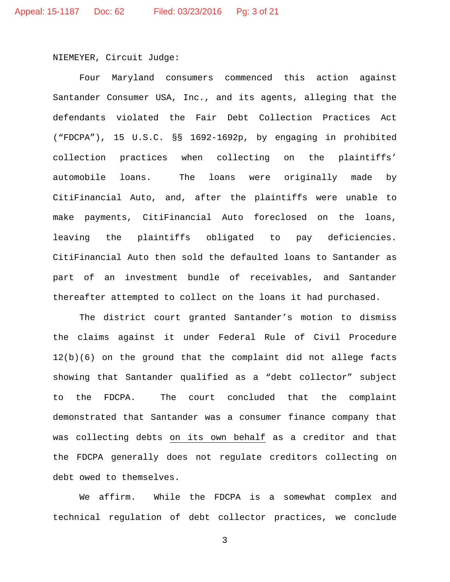NIEMEYER, Circuit Judge:

Four Maryland consumers commenced this action against Santander Consumer USA, Inc., and its agents, alleging that the defendants violated the Fair Debt Collection Practices Act ("FDCPA"), 15 U.S.C. §§ 1692-1692p, by engaging in prohibited collection practices when collecting on the plaintiffs' automobile loans. The loans were originally made by CitiFinancial Auto, and, after the plaintiffs were unable to make payments, CitiFinancial Auto foreclosed on the loans, leaving the plaintiffs obligated to pay deficiencies. CitiFinancial Auto then sold the defaulted loans to Santander as part of an investment bundle of receivables, and Santander thereafter attempted to collect on the loans it had purchased.

The district court granted Santander's motion to dismiss the claims against it under Federal Rule of Civil Procedure 12(b)(6) on the ground that the complaint did not allege facts showing that Santander qualified as a "debt collector" subject to the FDCPA. The court concluded that the complaint demonstrated that Santander was a consumer finance company that was collecting debts on its own behalf as a creditor and that the FDCPA generally does not regulate creditors collecting on debt owed to themselves.

We affirm. While the FDCPA is a somewhat complex and technical regulation of debt collector practices, we conclude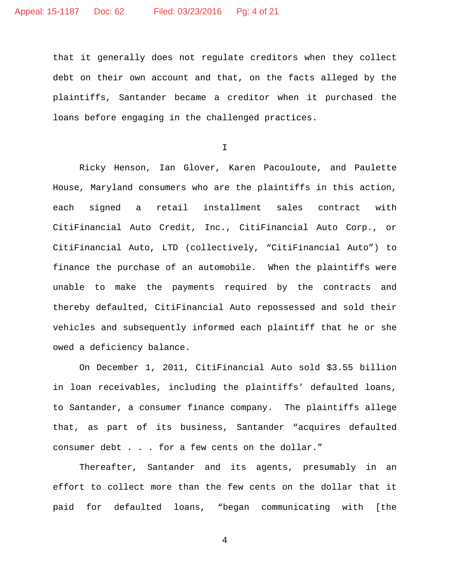that it generally does not regulate creditors when they collect debt on their own account and that, on the facts alleged by the plaintiffs, Santander became a creditor when it purchased the loans before engaging in the challenged practices.

I

Ricky Henson, Ian Glover, Karen Pacouloute, and Paulette House, Maryland consumers who are the plaintiffs in this action, each signed a retail installment sales contract with CitiFinancial Auto Credit, Inc., CitiFinancial Auto Corp., or CitiFinancial Auto, LTD (collectively, "CitiFinancial Auto") to finance the purchase of an automobile. When the plaintiffs were unable to make the payments required by the contracts and thereby defaulted, CitiFinancial Auto repossessed and sold their vehicles and subsequently informed each plaintiff that he or she owed a deficiency balance.

On December 1, 2011, CitiFinancial Auto sold \$3.55 billion in loan receivables, including the plaintiffs' defaulted loans, to Santander, a consumer finance company. The plaintiffs allege that, as part of its business, Santander "acquires defaulted consumer debt . . . for a few cents on the dollar."

Thereafter, Santander and its agents, presumably in an effort to collect more than the few cents on the dollar that it paid for defaulted loans, "began communicating with [the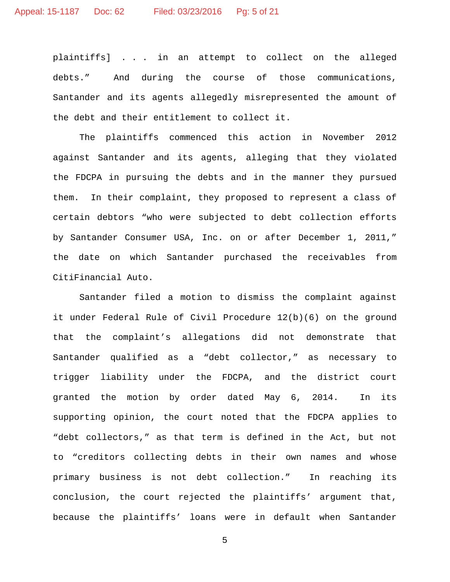plaintiffs] . . . in an attempt to collect on the alleged debts." And during the course of those communications, Santander and its agents allegedly misrepresented the amount of the debt and their entitlement to collect it.

The plaintiffs commenced this action in November 2012 against Santander and its agents, alleging that they violated the FDCPA in pursuing the debts and in the manner they pursued them. In their complaint, they proposed to represent a class of certain debtors "who were subjected to debt collection efforts by Santander Consumer USA, Inc. on or after December 1, 2011," the date on which Santander purchased the receivables from CitiFinancial Auto.

Santander filed a motion to dismiss the complaint against it under Federal Rule of Civil Procedure 12(b)(6) on the ground that the complaint's allegations did not demonstrate that Santander qualified as a "debt collector," as necessary to trigger liability under the FDCPA, and the district court granted the motion by order dated May 6, 2014. In its supporting opinion, the court noted that the FDCPA applies to "debt collectors," as that term is defined in the Act, but not to "creditors collecting debts in their own names and whose primary business is not debt collection." In reaching its conclusion, the court rejected the plaintiffs' argument that, because the plaintiffs' loans were in default when Santander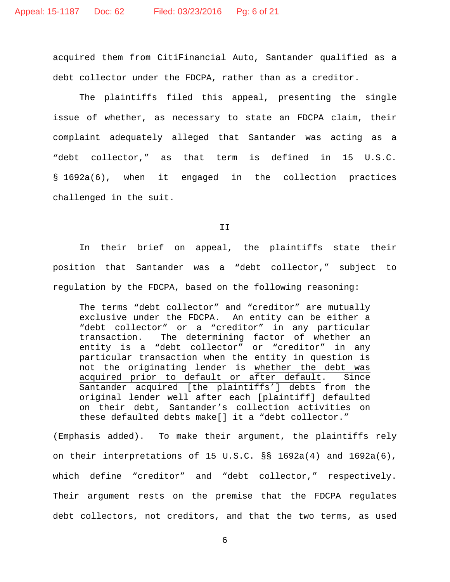acquired them from CitiFinancial Auto, Santander qualified as a debt collector under the FDCPA, rather than as a creditor.

The plaintiffs filed this appeal, presenting the single issue of whether, as necessary to state an FDCPA claim, their complaint adequately alleged that Santander was acting as a "debt collector," as that term is defined in 15 U.S.C. § 1692a(6), when it engaged in the collection practices challenged in the suit.

II

In their brief on appeal, the plaintiffs state their position that Santander was a "debt collector," subject to regulation by the FDCPA, based on the following reasoning:

The terms "debt collector" and "creditor" are mutually exclusive under the FDCPA. An entity can be either a "debt collector" or a "creditor" in any particular<br>transaction. The determining factor of whether an The determining factor of whether an entity is a "debt collector" or "creditor" in any particular transaction when the entity in question is not the originating lender is whether the debt was<br>acquired prior to default or after default. Since acquired prior to default or after default. Santander acquired [the plaintiffs'] debts from the original lender well after each [plaintiff] defaulted on their debt, Santander's collection activities on these defaulted debts make[] it a "debt collector."

(Emphasis added). To make their argument, the plaintiffs rely on their interpretations of 15 U.S.C. §§ 1692a(4) and 1692a(6), which define "creditor" and "debt collector," respectively. Their argument rests on the premise that the FDCPA regulates debt collectors, not creditors, and that the two terms, as used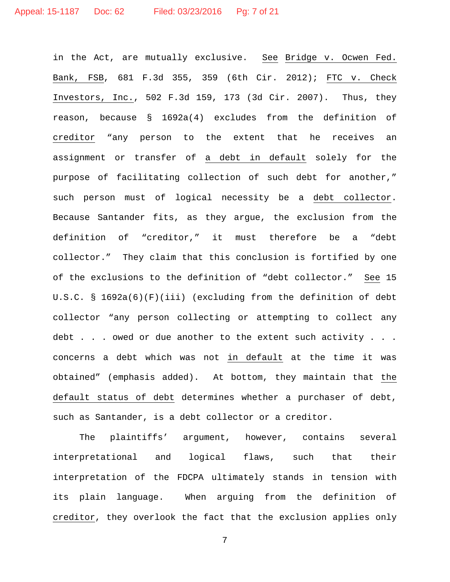in the Act, are mutually exclusive. See Bridge v. Ocwen Fed. Bank, FSB, 681 F.3d 355, 359 (6th Cir. 2012); FTC v. Check Investors, Inc., 502 F.3d 159, 173 (3d Cir. 2007). Thus, they reason, because § 1692a(4) excludes from the definition of creditor "any person to the extent that he receives an assignment or transfer of a debt in default solely for the purpose of facilitating collection of such debt for another," such person must of logical necessity be a debt collector. Because Santander fits, as they argue, the exclusion from the definition of "creditor," it must therefore be a "debt collector." They claim that this conclusion is fortified by one of the exclusions to the definition of "debt collector." See 15 U.S.C. § 1692a(6)(F)(iii) (excluding from the definition of debt collector "any person collecting or attempting to collect any debt . . . owed or due another to the extent such activity . . . concerns a debt which was not in default at the time it was obtained" (emphasis added). At bottom, they maintain that the default status of debt determines whether a purchaser of debt, such as Santander, is a debt collector or a creditor.

The plaintiffs' argument, however, contains several interpretational and logical flaws, such that their interpretation of the FDCPA ultimately stands in tension with its plain language. When arguing from the definition of creditor, they overlook the fact that the exclusion applies only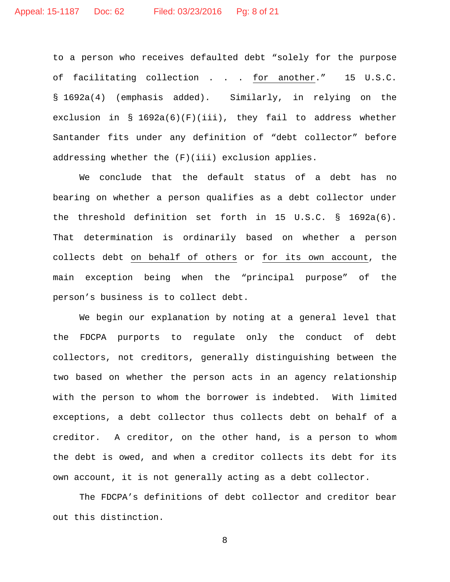to a person who receives defaulted debt "solely for the purpose of facilitating collection . . . for another." 15 U.S.C. § 1692a(4) (emphasis added). Similarly, in relying on the exclusion in  $\S$  1692a(6)(F)(iii), they fail to address whether Santander fits under any definition of "debt collector" before addressing whether the (F)(iii) exclusion applies.

We conclude that the default status of a debt has no bearing on whether a person qualifies as a debt collector under the threshold definition set forth in 15 U.S.C. § 1692a(6). That determination is ordinarily based on whether a person collects debt on behalf of others or for its own account, the main exception being when the "principal purpose" of the person's business is to collect debt.

We begin our explanation by noting at a general level that the FDCPA purports to regulate only the conduct of debt collectors, not creditors, generally distinguishing between the two based on whether the person acts in an agency relationship with the person to whom the borrower is indebted. With limited exceptions, a debt collector thus collects debt on behalf of a creditor. A creditor, on the other hand, is a person to whom the debt is owed, and when a creditor collects its debt for its own account, it is not generally acting as a debt collector.

The FDCPA's definitions of debt collector and creditor bear out this distinction.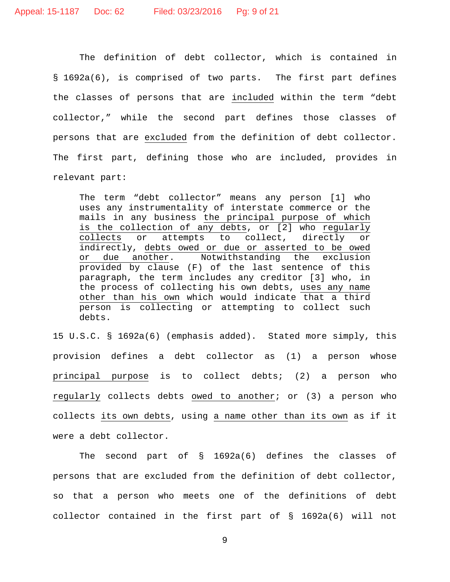The definition of debt collector, which is contained in § 1692a(6), is comprised of two parts. The first part defines the classes of persons that are included within the term "debt collector," while the second part defines those classes of persons that are excluded from the definition of debt collector. The first part, defining those who are included, provides in relevant part:

The term "debt collector" means any person [1] who uses any instrumentality of interstate commerce or the mails in any business the principal purpose of which is the collection of any debts, or [2] who regularly<br>collects or attempts to collect, directly or attempts to collect, directly or indirectly, debts owed or due or asserted to be owed<br>or due another. Notwithstanding the exclusion Notwithstanding the exclusion provided by clause (F) of the last sentence of this paragraph, the term includes any creditor [3] who, in the process of collecting his own debts, uses any name other than his own which would indicate that a third person is collecting or attempting to collect such debts.

15 U.S.C. § 1692a(6) (emphasis added). Stated more simply, this provision defines a debt collector as (1) a person whose principal purpose is to collect debts; (2) a person who regularly collects debts owed to another; or (3) a person who collects its own debts, using a name other than its own as if it were a debt collector.

The second part of § 1692a(6) defines the classes of persons that are excluded from the definition of debt collector, so that a person who meets one of the definitions of debt collector contained in the first part of § 1692a(6) will not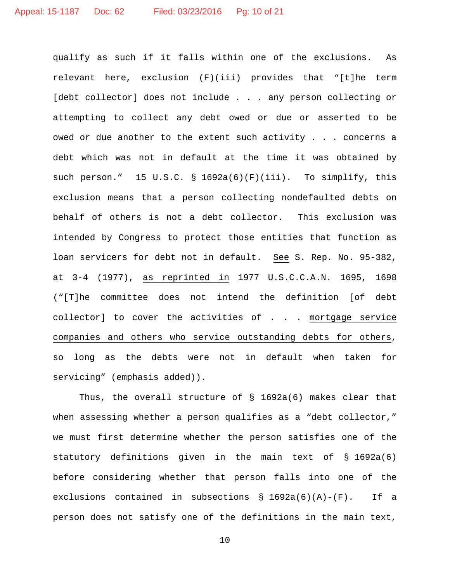qualify as such if it falls within one of the exclusions. As relevant here, exclusion (F)(iii) provides that "[t]he term [debt collector] does not include . . . any person collecting or attempting to collect any debt owed or due or asserted to be owed or due another to the extent such activity . . . concerns a debt which was not in default at the time it was obtained by such person." 15 U.S.C. § 1692a(6)(F)(iii). To simplify, this exclusion means that a person collecting nondefaulted debts on behalf of others is not a debt collector. This exclusion was intended by Congress to protect those entities that function as loan servicers for debt not in default. See S. Rep. No. 95-382, at 3-4 (1977), as reprinted in 1977 U.S.C.C.A.N. 1695, 1698 ("[T]he committee does not intend the definition [of debt collector] to cover the activities of . . . mortgage service companies and others who service outstanding debts for others, so long as the debts were not in default when taken for servicing" (emphasis added)).

Thus, the overall structure of § 1692a(6) makes clear that when assessing whether a person qualifies as a "debt collector," we must first determine whether the person satisfies one of the statutory definitions given in the main text of § 1692a(6) before considering whether that person falls into one of the exclusions contained in subsections § 1692a(6)(A)-(F). If a person does not satisfy one of the definitions in the main text,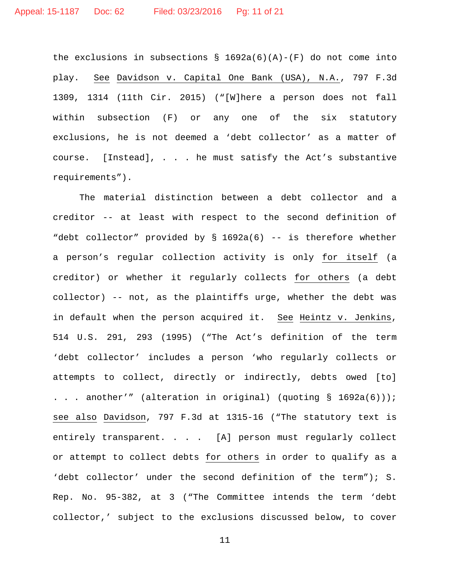the exclusions in subsections  $\S$  1692a(6)(A)-(F) do not come into play. See Davidson v. Capital One Bank (USA), N.A., 797 F.3d 1309, 1314 (11th Cir. 2015) ("[W]here a person does not fall within subsection (F) or any one of the six statutory exclusions, he is not deemed a 'debt collector' as a matter of course. [Instead], . . . he must satisfy the Act's substantive requirements").

The material distinction between a debt collector and a creditor -- at least with respect to the second definition of "debt collector" provided by § 1692a(6) -- is therefore whether a person's regular collection activity is only for itself (a creditor) or whether it regularly collects for others (a debt collector) -- not, as the plaintiffs urge, whether the debt was in default when the person acquired it. See Heintz v. Jenkins, 514 U.S. 291, 293 (1995) ("The Act's definition of the term 'debt collector' includes a person 'who regularly collects or attempts to collect, directly or indirectly, debts owed [to] . . . another'" (alteration in original) (quoting § 1692a(6))); see also Davidson, 797 F.3d at 1315-16 ("The statutory text is entirely transparent. . . . [A] person must regularly collect or attempt to collect debts for others in order to qualify as a 'debt collector' under the second definition of the term"); S. Rep. No. 95-382, at 3 ("The Committee intends the term 'debt collector,' subject to the exclusions discussed below, to cover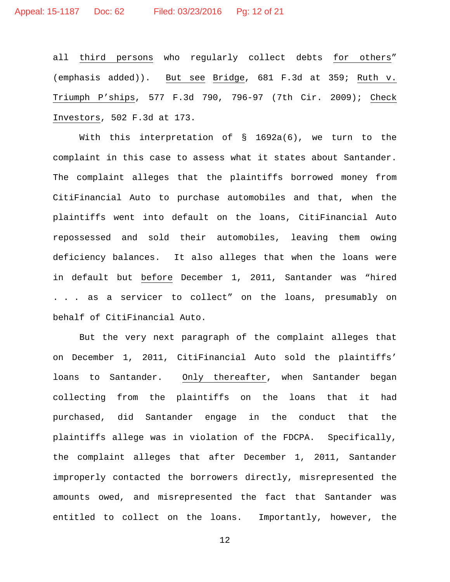all third persons who regularly collect debts for others" (emphasis added)). But see Bridge, 681 F.3d at 359; Ruth v. Triumph P'ships, 577 F.3d 790, 796-97 (7th Cir. 2009); Check Investors, 502 F.3d at 173.

With this interpretation of  $\S$  1692a(6), we turn to the complaint in this case to assess what it states about Santander. The complaint alleges that the plaintiffs borrowed money from CitiFinancial Auto to purchase automobiles and that, when the plaintiffs went into default on the loans, CitiFinancial Auto repossessed and sold their automobiles, leaving them owing deficiency balances. It also alleges that when the loans were in default but before December 1, 2011, Santander was "hired . . . as a servicer to collect" on the loans, presumably on behalf of CitiFinancial Auto.

But the very next paragraph of the complaint alleges that on December 1, 2011, CitiFinancial Auto sold the plaintiffs' loans to Santander. Only thereafter, when Santander began collecting from the plaintiffs on the loans that it had purchased, did Santander engage in the conduct that the plaintiffs allege was in violation of the FDCPA. Specifically, the complaint alleges that after December 1, 2011, Santander improperly contacted the borrowers directly, misrepresented the amounts owed, and misrepresented the fact that Santander was entitled to collect on the loans. Importantly, however, the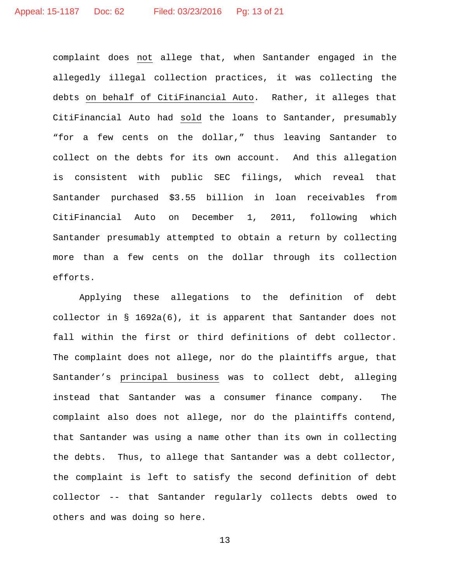complaint does not allege that, when Santander engaged in the allegedly illegal collection practices, it was collecting the debts on behalf of CitiFinancial Auto. Rather, it alleges that CitiFinancial Auto had sold the loans to Santander, presumably "for a few cents on the dollar," thus leaving Santander to collect on the debts for its own account. And this allegation is consistent with public SEC filings, which reveal that Santander purchased \$3.55 billion in loan receivables from CitiFinancial Auto on December 1, 2011, following which Santander presumably attempted to obtain a return by collecting more than a few cents on the dollar through its collection efforts.

Applying these allegations to the definition of debt collector in § 1692a(6), it is apparent that Santander does not fall within the first or third definitions of debt collector. The complaint does not allege, nor do the plaintiffs argue, that Santander's principal business was to collect debt, alleging instead that Santander was a consumer finance company. The complaint also does not allege, nor do the plaintiffs contend, that Santander was using a name other than its own in collecting the debts. Thus, to allege that Santander was a debt collector, the complaint is left to satisfy the second definition of debt collector -- that Santander regularly collects debts owed to others and was doing so here.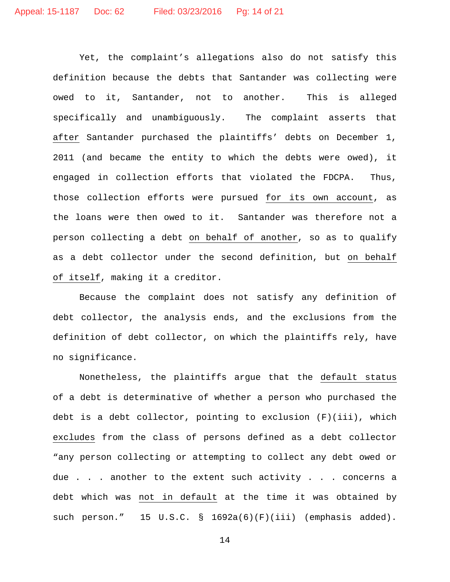Yet, the complaint's allegations also do not satisfy this definition because the debts that Santander was collecting were owed to it, Santander, not to another. This is alleged specifically and unambiguously. The complaint asserts that after Santander purchased the plaintiffs' debts on December 1, 2011 (and became the entity to which the debts were owed), it engaged in collection efforts that violated the FDCPA. Thus, those collection efforts were pursued for its own account, as the loans were then owed to it. Santander was therefore not a person collecting a debt on behalf of another, so as to qualify as a debt collector under the second definition, but on behalf of itself, making it a creditor.

Because the complaint does not satisfy any definition of debt collector, the analysis ends, and the exclusions from the definition of debt collector, on which the plaintiffs rely, have no significance.

Nonetheless, the plaintiffs argue that the default status of a debt is determinative of whether a person who purchased the debt is a debt collector, pointing to exclusion (F)(iii), which excludes from the class of persons defined as a debt collector "any person collecting or attempting to collect any debt owed or due . . . another to the extent such activity . . . concerns a debt which was not in default at the time it was obtained by such person." 15 U.S.C. § 1692a(6)(F)(iii) (emphasis added).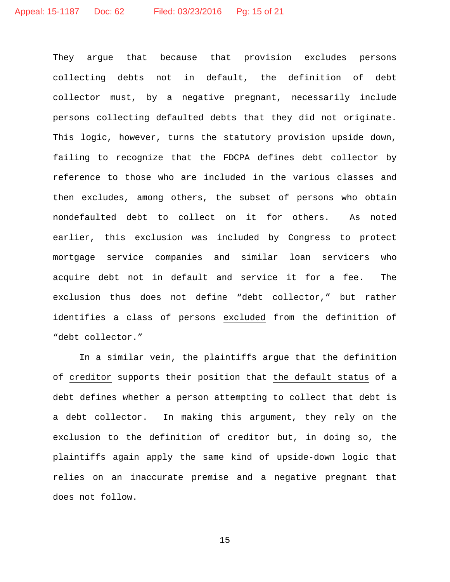They argue that because that provision excludes persons collecting debts not in default, the definition of debt collector must, by a negative pregnant, necessarily include persons collecting defaulted debts that they did not originate. This logic, however, turns the statutory provision upside down, failing to recognize that the FDCPA defines debt collector by reference to those who are included in the various classes and then excludes, among others, the subset of persons who obtain nondefaulted debt to collect on it for others. As noted earlier, this exclusion was included by Congress to protect mortgage service companies and similar loan servicers who acquire debt not in default and service it for a fee. The exclusion thus does not define "debt collector," but rather identifies a class of persons excluded from the definition of "debt collector."

In a similar vein, the plaintiffs argue that the definition of creditor supports their position that the default status of a debt defines whether a person attempting to collect that debt is a debt collector. In making this argument, they rely on the exclusion to the definition of creditor but, in doing so, the plaintiffs again apply the same kind of upside-down logic that relies on an inaccurate premise and a negative pregnant that does not follow.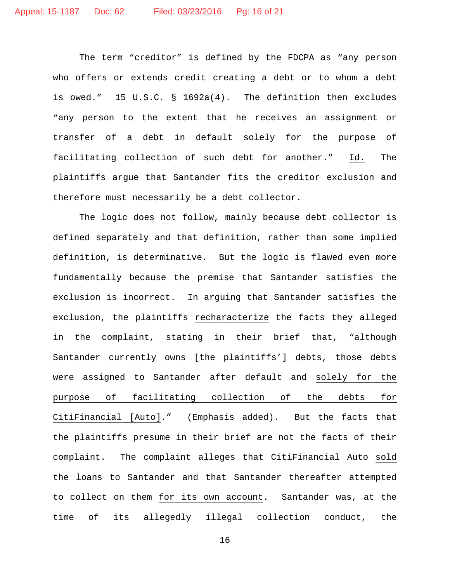The term "creditor" is defined by the FDCPA as "any person who offers or extends credit creating a debt or to whom a debt is owed." 15 U.S.C. § 1692a(4). The definition then excludes "any person to the extent that he receives an assignment or transfer of a debt in default solely for the purpose of facilitating collection of such debt for another." Id. The plaintiffs argue that Santander fits the creditor exclusion and therefore must necessarily be a debt collector.

The logic does not follow, mainly because debt collector is defined separately and that definition, rather than some implied definition, is determinative. But the logic is flawed even more fundamentally because the premise that Santander satisfies the exclusion is incorrect. In arguing that Santander satisfies the exclusion, the plaintiffs recharacterize the facts they alleged in the complaint, stating in their brief that, "although Santander currently owns [the plaintiffs'] debts, those debts were assigned to Santander after default and solely for the purpose of facilitating collection of the debts for CitiFinancial [Auto]." (Emphasis added). But the facts that the plaintiffs presume in their brief are not the facts of their complaint. The complaint alleges that CitiFinancial Auto sold the loans to Santander and that Santander thereafter attempted to collect on them for its own account. Santander was, at the time of its allegedly illegal collection conduct, the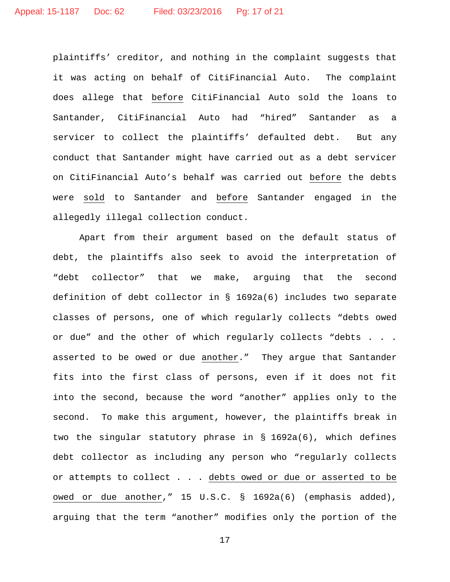plaintiffs' creditor, and nothing in the complaint suggests that it was acting on behalf of CitiFinancial Auto. The complaint does allege that before CitiFinancial Auto sold the loans to Santander, CitiFinancial Auto had "hired" Santander as a servicer to collect the plaintiffs' defaulted debt. But any conduct that Santander might have carried out as a debt servicer on CitiFinancial Auto's behalf was carried out before the debts were sold to Santander and before Santander engaged in the allegedly illegal collection conduct.

Apart from their argument based on the default status of debt, the plaintiffs also seek to avoid the interpretation of "debt collector" that we make, arguing that the second definition of debt collector in § 1692a(6) includes two separate classes of persons, one of which regularly collects "debts owed or due" and the other of which regularly collects "debts . . . asserted to be owed or due another." They argue that Santander fits into the first class of persons, even if it does not fit into the second, because the word "another" applies only to the second. To make this argument, however, the plaintiffs break in two the singular statutory phrase in § 1692a(6), which defines debt collector as including any person who "regularly collects or attempts to collect . . . debts owed or due or asserted to be owed or due another," 15 U.S.C. § 1692a(6) (emphasis added), arguing that the term "another" modifies only the portion of the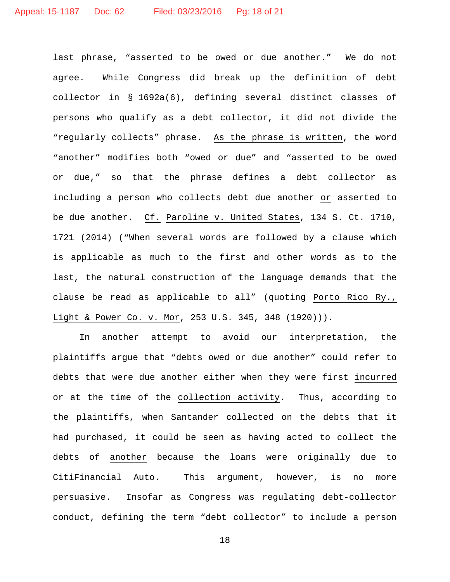last phrase, "asserted to be owed or due another." We do not agree. While Congress did break up the definition of debt collector in § 1692a(6), defining several distinct classes of persons who qualify as a debt collector, it did not divide the "regularly collects" phrase. As the phrase is written, the word "another" modifies both "owed or due" and "asserted to be owed or due," so that the phrase defines a debt collector as including a person who collects debt due another or asserted to be due another. Cf. Paroline v. United States, 134 S. Ct. 1710, 1721 (2014) ("When several words are followed by a clause which is applicable as much to the first and other words as to the last, the natural construction of the language demands that the clause be read as applicable to all" (quoting Porto Rico Ry., Light & Power Co. v. Mor, 253 U.S. 345, 348 (1920))).

In another attempt to avoid our interpretation, the plaintiffs argue that "debts owed or due another" could refer to debts that were due another either when they were first incurred or at the time of the collection activity. Thus, according to the plaintiffs, when Santander collected on the debts that it had purchased, it could be seen as having acted to collect the debts of another because the loans were originally due to CitiFinancial Auto. This argument, however, is no more persuasive. Insofar as Congress was regulating debt-collector conduct, defining the term "debt collector" to include a person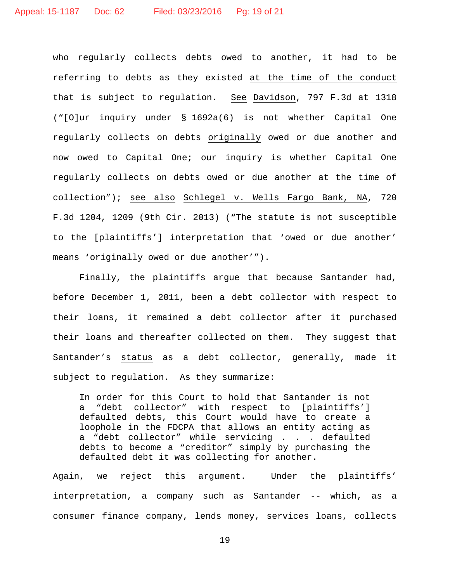who regularly collects debts owed to another, it had to be referring to debts as they existed at the time of the conduct that is subject to regulation. See Davidson, 797 F.3d at 1318 ("[O]ur inquiry under § 1692a(6) is not whether Capital One regularly collects on debts originally owed or due another and now owed to Capital One; our inquiry is whether Capital One regularly collects on debts owed or due another at the time of collection"); see also Schlegel v. Wells Fargo Bank, NA, 720 F.3d 1204, 1209 (9th Cir. 2013) ("The statute is not susceptible to the [plaintiffs'] interpretation that 'owed or due another' means 'originally owed or due another'").

Finally, the plaintiffs argue that because Santander had, before December 1, 2011, been a debt collector with respect to their loans, it remained a debt collector after it purchased their loans and thereafter collected on them. They suggest that Santander's status as a debt collector, generally, made it subject to regulation. As they summarize:

In order for this Court to hold that Santander is not a "debt collector" with respect to [plaintiffs'] defaulted debts, this Court would have to create a loophole in the FDCPA that allows an entity acting as a "debt collector" while servicing . . . defaulted debts to become a "creditor" simply by purchasing the defaulted debt it was collecting for another.

Again, we reject this argument. Under the plaintiffs' interpretation, a company such as Santander -- which, as a consumer finance company, lends money, services loans, collects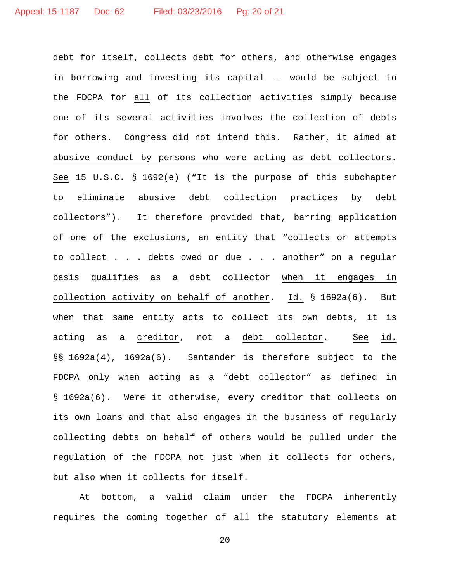debt for itself, collects debt for others, and otherwise engages in borrowing and investing its capital -- would be subject to the FDCPA for all of its collection activities simply because one of its several activities involves the collection of debts for others. Congress did not intend this. Rather, it aimed at abusive conduct by persons who were acting as debt collectors. See 15 U.S.C. § 1692(e) ("It is the purpose of this subchapter to eliminate abusive debt collection practices by debt collectors"). It therefore provided that, barring application of one of the exclusions, an entity that "collects or attempts to collect . . . debts owed or due . . . another" on a regular basis qualifies as a debt collector when it engages in collection activity on behalf of another. Id. § 1692a(6). But when that same entity acts to collect its own debts, it is acting as a creditor, not a debt collector. See id. §§ 1692a(4), 1692a(6). Santander is therefore subject to the FDCPA only when acting as a "debt collector" as defined in § 1692a(6). Were it otherwise, every creditor that collects on its own loans and that also engages in the business of regularly collecting debts on behalf of others would be pulled under the regulation of the FDCPA not just when it collects for others, but also when it collects for itself.

At bottom, a valid claim under the FDCPA inherently requires the coming together of all the statutory elements at